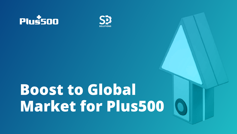



# Boost to Global Market for Plus500

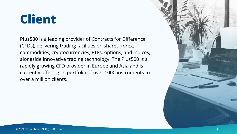Plus500 is a leading provider of Contracts for Difference (CFDs), delivering trading facilities on shares, forex, commodities, cryptocurrencies, ETFs, options, and indices, alongside innovative trading technology. The Plus500 is a rapidly growing CFD provider in Europe and Asia and is currently offering its portfolio of over 1000 instruments to over a million clients.

### Client

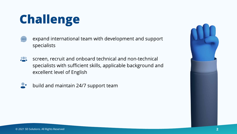- expand international team with development and support  $\bullet\bullet\bullet$ specialists
- screen, recruit and onboard technical and non-technical  $\sum$ specialists with sufficient skills, applicable background and excellent level of English



build and maintain 24/7 support team

## Challenge

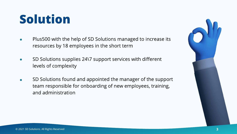### Solution



- Plus500 with the help of SD Solutions managed to increase its  $\bullet$ resources by 18 employees in the short term
- SD Solutions supplies 24\7 support services with different  $\bullet$ levels of complexity
- SD Solutions found and appointed the manager of the support  $\bullet$ team responsible for onboarding of new employees, training, and administration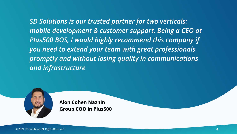SD Solutions is our trusted partner for two verticals: mobile development & customer support. Being a CEO at Plus500 BOS, I would highly recommend this company if you need to extend your team with great professionals promptly and without losing quality in communications and infrastructure



Alon Cohen Naznin Group COO in Plus500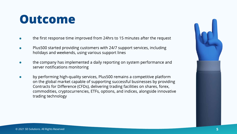#### Outcome



- the first response time improved from 24hrs to 15 minutes after the request
- Plus500 started providing customers with 24/7 support services, including holidays and weekends, using various support lines
- the company has implemented a daily reporting on system performance and server notifications monitoring
- by performing high-quality services, Plus500 remains a competitive platform  $\bullet$ on the global market capable of supporting successful businesses by providing Contracts for Difference (CFDs), delivering trading facilities on shares, forex, commodities, cryptocurrencies, ETFs, options, and indices, alongside innovative trading technology